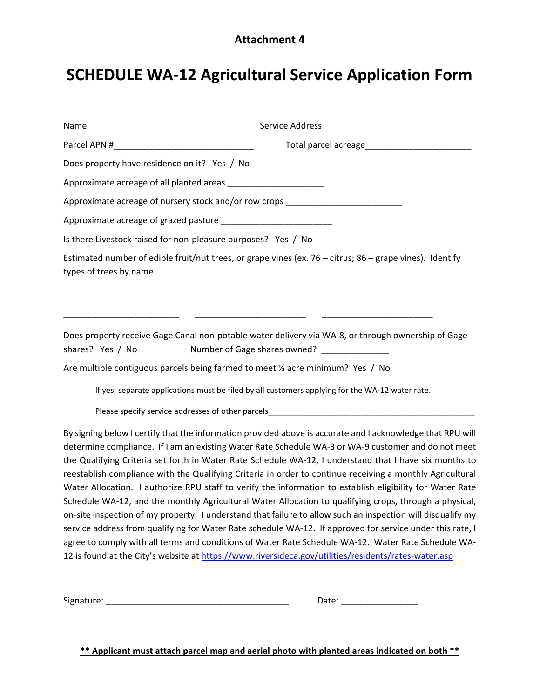# **Attachment 4**

# **SCHEDULE WA‐12 Agricultural Service Application Form**

|                                                                                                           | Total parcel acreage Total Processor and Total Processor                                                                                                                                                                                                                                                                                                                                                                                                                                                                                                                                                                                                                                                                                                                       |
|-----------------------------------------------------------------------------------------------------------|--------------------------------------------------------------------------------------------------------------------------------------------------------------------------------------------------------------------------------------------------------------------------------------------------------------------------------------------------------------------------------------------------------------------------------------------------------------------------------------------------------------------------------------------------------------------------------------------------------------------------------------------------------------------------------------------------------------------------------------------------------------------------------|
| Does property have residence on it? Yes / No                                                              |                                                                                                                                                                                                                                                                                                                                                                                                                                                                                                                                                                                                                                                                                                                                                                                |
| Approximate acreage of all planted areas ________________________                                         |                                                                                                                                                                                                                                                                                                                                                                                                                                                                                                                                                                                                                                                                                                                                                                                |
| Approximate acreage of nursery stock and/or row crops                                                     |                                                                                                                                                                                                                                                                                                                                                                                                                                                                                                                                                                                                                                                                                                                                                                                |
|                                                                                                           |                                                                                                                                                                                                                                                                                                                                                                                                                                                                                                                                                                                                                                                                                                                                                                                |
| Is there Livestock raised for non-pleasure purposes? Yes / No                                             |                                                                                                                                                                                                                                                                                                                                                                                                                                                                                                                                                                                                                                                                                                                                                                                |
| types of trees by name.                                                                                   | Estimated number of edible fruit/nut trees, or grape vines (ex. 76 - citrus; 86 - grape vines). Identify                                                                                                                                                                                                                                                                                                                                                                                                                                                                                                                                                                                                                                                                       |
| shares? Yes / No                                                                                          | Does property receive Gage Canal non-potable water delivery via WA-8, or through ownership of Gage<br>Number of Gage shares owned? _______________                                                                                                                                                                                                                                                                                                                                                                                                                                                                                                                                                                                                                             |
| Are multiple contiguous parcels being farmed to meet 1/2 acre minimum? Yes / No                           |                                                                                                                                                                                                                                                                                                                                                                                                                                                                                                                                                                                                                                                                                                                                                                                |
|                                                                                                           | If yes, separate applications must be filed by all customers applying for the WA-12 water rate.                                                                                                                                                                                                                                                                                                                                                                                                                                                                                                                                                                                                                                                                                |
|                                                                                                           |                                                                                                                                                                                                                                                                                                                                                                                                                                                                                                                                                                                                                                                                                                                                                                                |
|                                                                                                           | By signing below I certify that the information provided above is accurate and I acknowledge that RPU will<br>determine compliance. If I am an existing Water Rate Schedule WA-3 or WA-9 customer and do not meet<br>the Qualifying Criteria set forth in Water Rate Schedule WA-12, I understand that I have six months to<br>reestablish compliance with the Qualifying Criteria in order to continue receiving a monthly Agricultural<br>Water Allocation. I authorize RPU staff to verify the information to establish eligibility for Water Rate<br>Schedule WA-12, and the monthly Agricultural Water Allocation to qualifying crops, through a physical,<br>on-site inspection of my property. I understand that failure to allow such an inspection will disqualify my |
| service address from qualifying for Water Rate schedule WA-12. If approved for service under this rate, I |                                                                                                                                                                                                                                                                                                                                                                                                                                                                                                                                                                                                                                                                                                                                                                                |

12 is found at the City's website at https://www.riversideca.gov/utilities/residents/rates-water.asp

agree to comply with all terms and conditions of Water Rate Schedule WA‐12. Water Rate Schedule WA‐

Signature: \_\_\_\_\_\_\_\_\_\_\_\_\_\_\_\_\_\_\_\_\_\_\_\_\_\_\_\_\_\_\_\_\_\_\_\_\_\_ Date: \_\_\_\_\_\_\_\_\_\_\_\_\_\_\_\_

**\*\* Applicant must attach parcel map and aerial photo with planted areas indicated on both \*\***